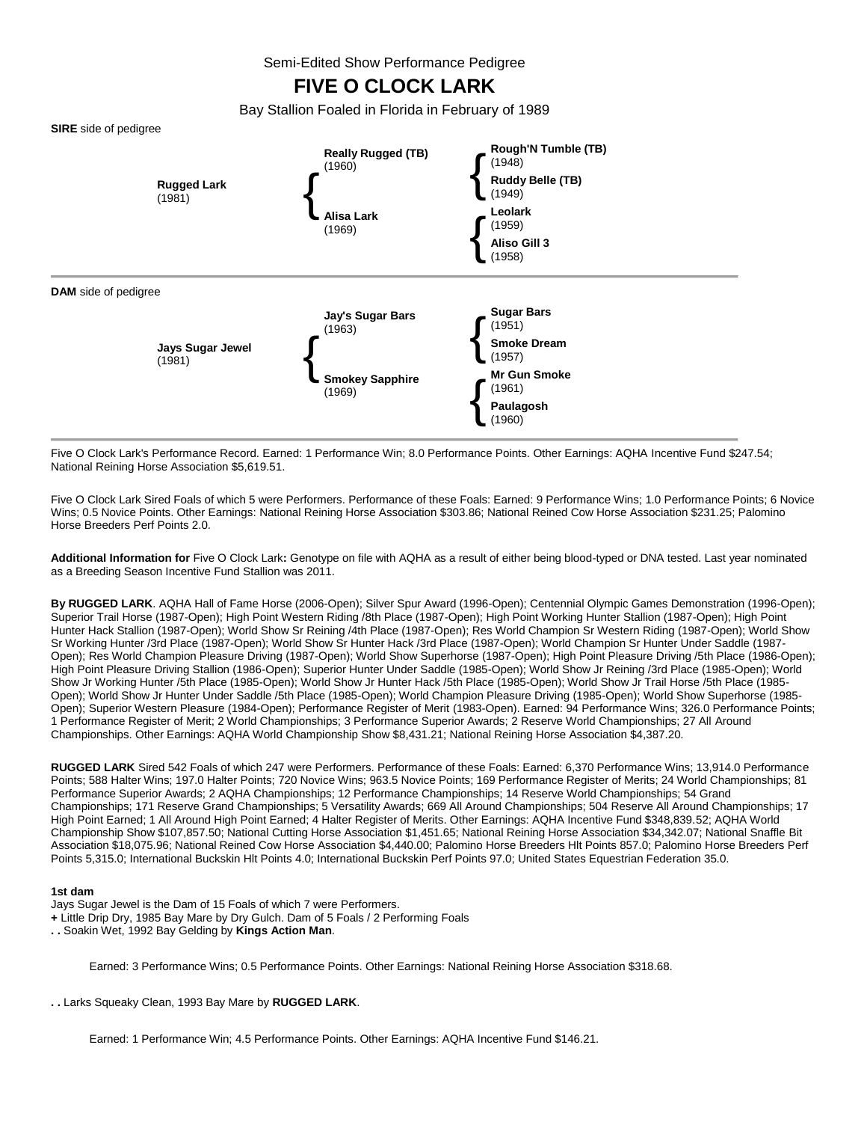Semi-Edited Show Performance Pedigree

# **FIVE O CLOCK LARK**

Bay Stallion Foaled in Florida in February of 1989



Five O Clock Lark's Performance Record. Earned: 1 Performance Win; 8.0 Performance Points. Other Earnings: AQHA Incentive Fund \$247.54; National Reining Horse Association \$5,619.51.

Five O Clock Lark Sired Foals of which 5 were Performers. Performance of these Foals: Earned: 9 Performance Wins; 1.0 Performance Points; 6 Novice Wins; 0.5 Novice Points. Other Earnings: National Reining Horse Association \$303.86; National Reined Cow Horse Association \$231.25; Palomino Horse Breeders Perf Points 2.0.

**Additional Information for** Five O Clock Lark**:** Genotype on file with AQHA as a result of either being blood-typed or DNA tested. Last year nominated as a Breeding Season Incentive Fund Stallion was 2011.

**By RUGGED LARK**. AQHA Hall of Fame Horse (2006-Open); Silver Spur Award (1996-Open); Centennial Olympic Games Demonstration (1996-Open); Superior Trail Horse (1987-Open); High Point Western Riding /8th Place (1987-Open); High Point Working Hunter Stallion (1987-Open); High Point Hunter Hack Stallion (1987-Open); World Show Sr Reining /4th Place (1987-Open); Res World Champion Sr Western Riding (1987-Open); World Show Sr Working Hunter /3rd Place (1987-Open); World Show Sr Hunter Hack /3rd Place (1987-Open); World Champion Sr Hunter Under Saddle (1987- Open); Res World Champion Pleasure Driving (1987-Open); World Show Superhorse (1987-Open); High Point Pleasure Driving /5th Place (1986-Open); High Point Pleasure Driving Stallion (1986-Open); Superior Hunter Under Saddle (1985-Open); World Show Jr Reining /3rd Place (1985-Open); World Show Jr Working Hunter /5th Place (1985-Open); World Show Jr Hunter Hack /5th Place (1985-Open); World Show Jr Trail Horse /5th Place (1985- Open); World Show Jr Hunter Under Saddle /5th Place (1985-Open); World Champion Pleasure Driving (1985-Open); World Show Superhorse (1985- Open); Superior Western Pleasure (1984-Open); Performance Register of Merit (1983-Open). Earned: 94 Performance Wins; 326.0 Performance Points; 1 Performance Register of Merit; 2 World Championships; 3 Performance Superior Awards; 2 Reserve World Championships; 27 All Around Championships. Other Earnings: AQHA World Championship Show \$8,431.21; National Reining Horse Association \$4,387.20.

**RUGGED LARK** Sired 542 Foals of which 247 were Performers. Performance of these Foals: Earned: 6,370 Performance Wins; 13,914.0 Performance Points; 588 Halter Wins; 197.0 Halter Points; 720 Novice Wins; 963.5 Novice Points; 169 Performance Register of Merits; 24 World Championships; 81 Performance Superior Awards; 2 AQHA Championships; 12 Performance Championships; 14 Reserve World Championships; 54 Grand Championships; 171 Reserve Grand Championships; 5 Versatility Awards; 669 All Around Championships; 504 Reserve All Around Championships; 17 High Point Earned; 1 All Around High Point Earned; 4 Halter Register of Merits. Other Earnings: AQHA Incentive Fund \$348,839.52; AQHA World Championship Show \$107,857.50; National Cutting Horse Association \$1,451.65; National Reining Horse Association \$34,342.07; National Snaffle Bit Association \$18,075.96; National Reined Cow Horse Association \$4,440.00; Palomino Horse Breeders Hlt Points 857.0; Palomino Horse Breeders Perf Points 5,315.0; International Buckskin Hlt Points 4.0; International Buckskin Perf Points 97.0; United States Equestrian Federation 35.0.

## **1st dam**

Jays Sugar Jewel is the Dam of 15 Foals of which 7 were Performers.

- **+** Little Drip Dry, 1985 Bay Mare by Dry Gulch. Dam of 5 Foals / 2 Performing Foals
- **. .** Soakin Wet, 1992 Bay Gelding by **Kings Action Man**.

Earned: 3 Performance Wins; 0.5 Performance Points. Other Earnings: National Reining Horse Association \$318.68.

**. .** Larks Squeaky Clean, 1993 Bay Mare by **RUGGED LARK**.

Earned: 1 Performance Win; 4.5 Performance Points. Other Earnings: AQHA Incentive Fund \$146.21.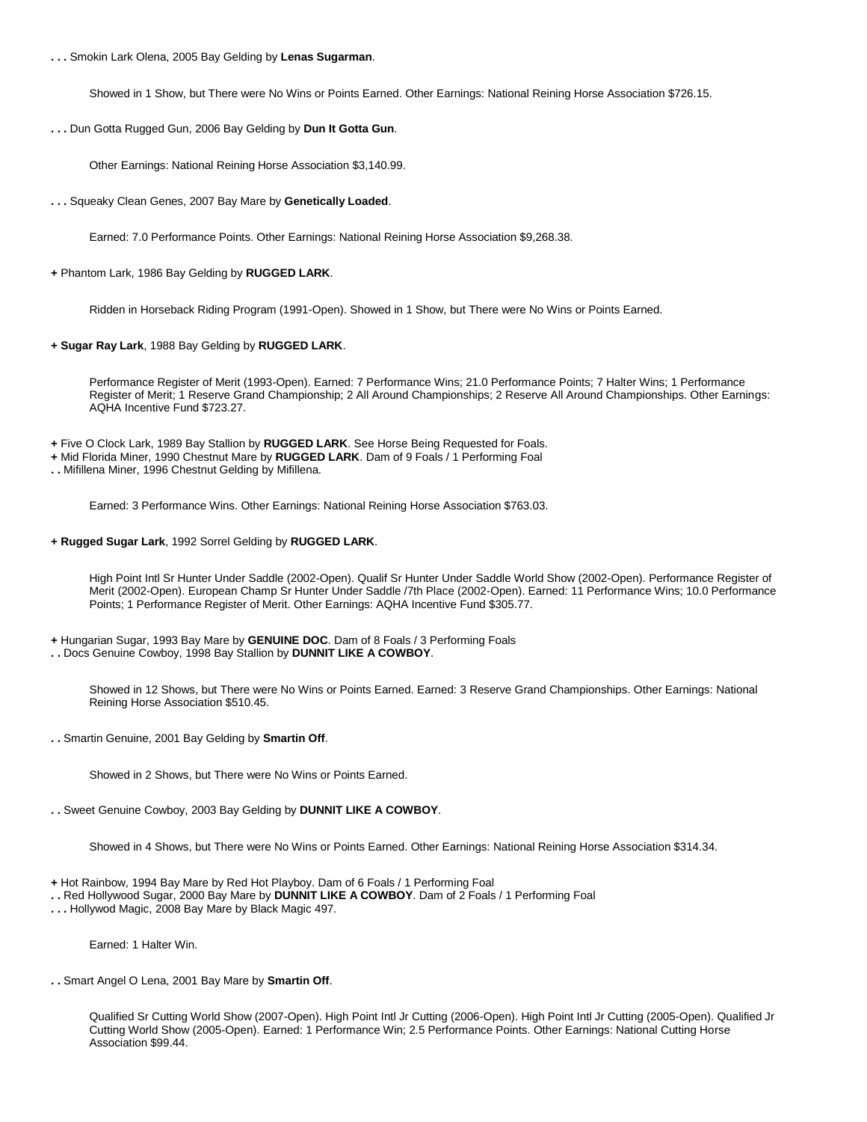**. . .** Smokin Lark Olena, 2005 Bay Gelding by **Lenas Sugarman**.

Showed in 1 Show, but There were No Wins or Points Earned. Other Earnings: National Reining Horse Association \$726.15.

**. . .** Dun Gotta Rugged Gun, 2006 Bay Gelding by **Dun It Gotta Gun**.

Other Earnings: National Reining Horse Association \$3,140.99.

**. . .** Squeaky Clean Genes, 2007 Bay Mare by **Genetically Loaded**.

Earned: 7.0 Performance Points. Other Earnings: National Reining Horse Association \$9,268.38.

**+** Phantom Lark, 1986 Bay Gelding by **RUGGED LARK**.

Ridden in Horseback Riding Program (1991-Open). Showed in 1 Show, but There were No Wins or Points Earned.

**+ Sugar Ray Lark**, 1988 Bay Gelding by **RUGGED LARK**.

Performance Register of Merit (1993-Open). Earned: 7 Performance Wins; 21.0 Performance Points; 7 Halter Wins; 1 Performance Register of Merit; 1 Reserve Grand Championship; 2 All Around Championships; 2 Reserve All Around Championships. Other Earnings: AQHA Incentive Fund \$723.27.

**+** Five O Clock Lark, 1989 Bay Stallion by **RUGGED LARK**. See Horse Being Requested for Foals.

**+** Mid Florida Miner, 1990 Chestnut Mare by **RUGGED LARK**. Dam of 9 Foals / 1 Performing Foal

**. .** Mifillena Miner, 1996 Chestnut Gelding by Mifillena.

Earned: 3 Performance Wins. Other Earnings: National Reining Horse Association \$763.03.

**+ Rugged Sugar Lark**, 1992 Sorrel Gelding by **RUGGED LARK**.

High Point Intl Sr Hunter Under Saddle (2002-Open). Qualif Sr Hunter Under Saddle World Show (2002-Open). Performance Register of Merit (2002-Open). European Champ Sr Hunter Under Saddle /7th Place (2002-Open). Earned: 11 Performance Wins; 10.0 Performance Points; 1 Performance Register of Merit. Other Earnings: AQHA Incentive Fund \$305.77.

- **+** Hungarian Sugar, 1993 Bay Mare by **GENUINE DOC**. Dam of 8 Foals / 3 Performing Foals
- **. .** Docs Genuine Cowboy, 1998 Bay Stallion by **DUNNIT LIKE A COWBOY**.

Showed in 12 Shows, but There were No Wins or Points Earned. Earned: 3 Reserve Grand Championships. Other Earnings: National Reining Horse Association \$510.45.

**. .** Smartin Genuine, 2001 Bay Gelding by **Smartin Off**.

Showed in 2 Shows, but There were No Wins or Points Earned.

**. .** Sweet Genuine Cowboy, 2003 Bay Gelding by **DUNNIT LIKE A COWBOY**.

Showed in 4 Shows, but There were No Wins or Points Earned. Other Earnings: National Reining Horse Association \$314.34.

- **+** Hot Rainbow, 1994 Bay Mare by Red Hot Playboy. Dam of 6 Foals / 1 Performing Foal
- **. .** Red Hollywood Sugar, 2000 Bay Mare by **DUNNIT LIKE A COWBOY**. Dam of 2 Foals / 1 Performing Foal
- **. . .** Hollywod Magic, 2008 Bay Mare by Black Magic 497.

Earned: 1 Halter Win.

**. .** Smart Angel O Lena, 2001 Bay Mare by **Smartin Off**.

Qualified Sr Cutting World Show (2007-Open). High Point Intl Jr Cutting (2006-Open). High Point Intl Jr Cutting (2005-Open). Qualified Jr Cutting World Show (2005-Open). Earned: 1 Performance Win; 2.5 Performance Points. Other Earnings: National Cutting Horse Association \$99.44.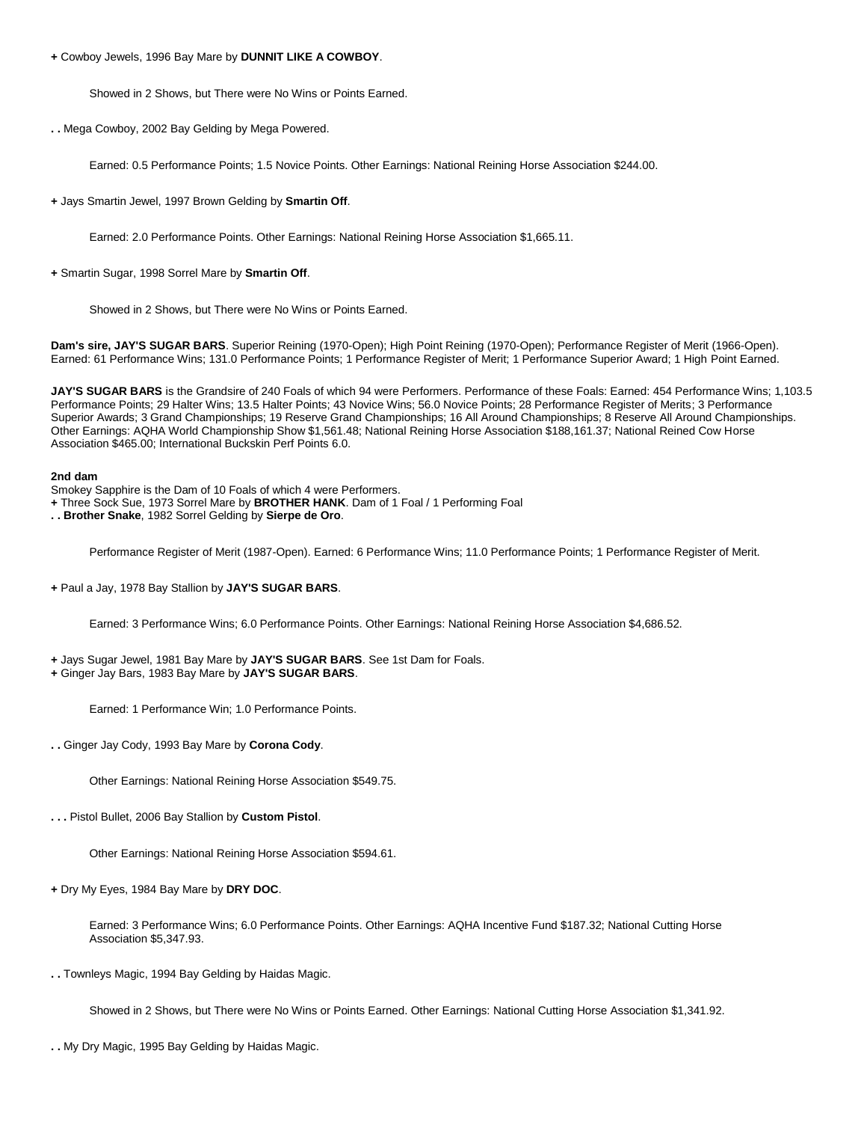**+** Cowboy Jewels, 1996 Bay Mare by **DUNNIT LIKE A COWBOY**.

Showed in 2 Shows, but There were No Wins or Points Earned.

**. .** Mega Cowboy, 2002 Bay Gelding by Mega Powered.

Earned: 0.5 Performance Points; 1.5 Novice Points. Other Earnings: National Reining Horse Association \$244.00.

**+** Jays Smartin Jewel, 1997 Brown Gelding by **Smartin Off**.

Earned: 2.0 Performance Points. Other Earnings: National Reining Horse Association \$1,665.11.

**+** Smartin Sugar, 1998 Sorrel Mare by **Smartin Off**.

Showed in 2 Shows, but There were No Wins or Points Earned.

**Dam's sire, JAY'S SUGAR BARS**. Superior Reining (1970-Open); High Point Reining (1970-Open); Performance Register of Merit (1966-Open). Earned: 61 Performance Wins; 131.0 Performance Points; 1 Performance Register of Merit; 1 Performance Superior Award; 1 High Point Earned.

**JAY'S SUGAR BARS** is the Grandsire of 240 Foals of which 94 were Performers. Performance of these Foals: Earned: 454 Performance Wins; 1,103.5 Performance Points; 29 Halter Wins; 13.5 Halter Points; 43 Novice Wins; 56.0 Novice Points; 28 Performance Register of Merits; 3 Performance Superior Awards; 3 Grand Championships; 19 Reserve Grand Championships; 16 All Around Championships; 8 Reserve All Around Championships. Other Earnings: AQHA World Championship Show \$1,561.48; National Reining Horse Association \$188,161.37; National Reined Cow Horse Association \$465.00; International Buckskin Perf Points 6.0.

#### **2nd dam**

Smokey Sapphire is the Dam of 10 Foals of which 4 were Performers.

- **+** Three Sock Sue, 1973 Sorrel Mare by **BROTHER HANK**. Dam of 1 Foal / 1 Performing Foal
- **. . Brother Snake**, 1982 Sorrel Gelding by **Sierpe de Oro**.

Performance Register of Merit (1987-Open). Earned: 6 Performance Wins; 11.0 Performance Points; 1 Performance Register of Merit.

**+** Paul a Jay, 1978 Bay Stallion by **JAY'S SUGAR BARS**.

Earned: 3 Performance Wins; 6.0 Performance Points. Other Earnings: National Reining Horse Association \$4,686.52.

- **+** Jays Sugar Jewel, 1981 Bay Mare by **JAY'S SUGAR BARS**. See 1st Dam for Foals.
- **+** Ginger Jay Bars, 1983 Bay Mare by **JAY'S SUGAR BARS**.

Earned: 1 Performance Win; 1.0 Performance Points.

**. .** Ginger Jay Cody, 1993 Bay Mare by **Corona Cody**.

Other Earnings: National Reining Horse Association \$549.75.

**. . .** Pistol Bullet, 2006 Bay Stallion by **Custom Pistol**.

Other Earnings: National Reining Horse Association \$594.61.

**+** Dry My Eyes, 1984 Bay Mare by **DRY DOC**.

Earned: 3 Performance Wins; 6.0 Performance Points. Other Earnings: AQHA Incentive Fund \$187.32; National Cutting Horse Association \$5,347.93.

**. .** Townleys Magic, 1994 Bay Gelding by Haidas Magic.

Showed in 2 Shows, but There were No Wins or Points Earned. Other Earnings: National Cutting Horse Association \$1,341.92.

**. .** My Dry Magic, 1995 Bay Gelding by Haidas Magic.